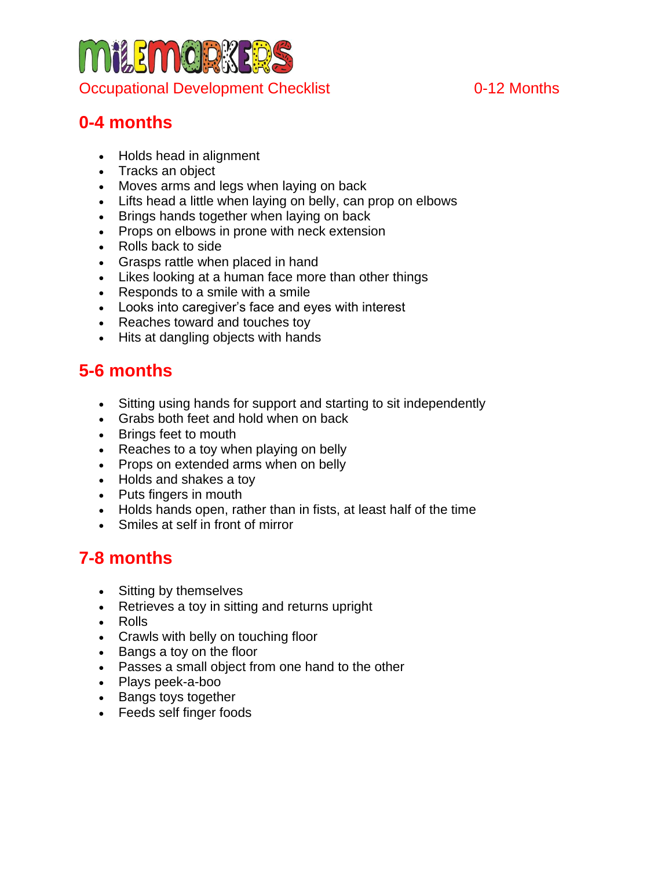# **MilemorkE** Occupational Development Checklist **Checklist** 0-12 Months

# **0-4 months**

- Holds head in alignment
- Tracks an object
- Moves arms and legs when laying on back
- Lifts head a little when laying on belly, can prop on elbows
- Brings hands together when laying on back
- Props on elbows in prone with neck extension
- Rolls back to side
- Grasps rattle when placed in hand
- Likes looking at a human face more than other things
- Responds to a smile with a smile
- Looks into caregiver's face and eyes with interest
- Reaches toward and touches toy
- Hits at dangling objects with hands

# **5-6 months**

- Sitting using hands for support and starting to sit independently
- Grabs both feet and hold when on back
- Brings feet to mouth
- Reaches to a toy when playing on belly
- Props on extended arms when on belly
- Holds and shakes a toy
- Puts fingers in mouth
- Holds hands open, rather than in fists, at least half of the time
- Smiles at self in front of mirror

# **7-8 months**

- Sitting by themselves
- Retrieves a toy in sitting and returns upright
- Rolls
- Crawls with belly on touching floor
- Bangs a toy on the floor
- Passes a small object from one hand to the other
- Plays peek-a-boo
- Bangs toys together
- Feeds self finger foods